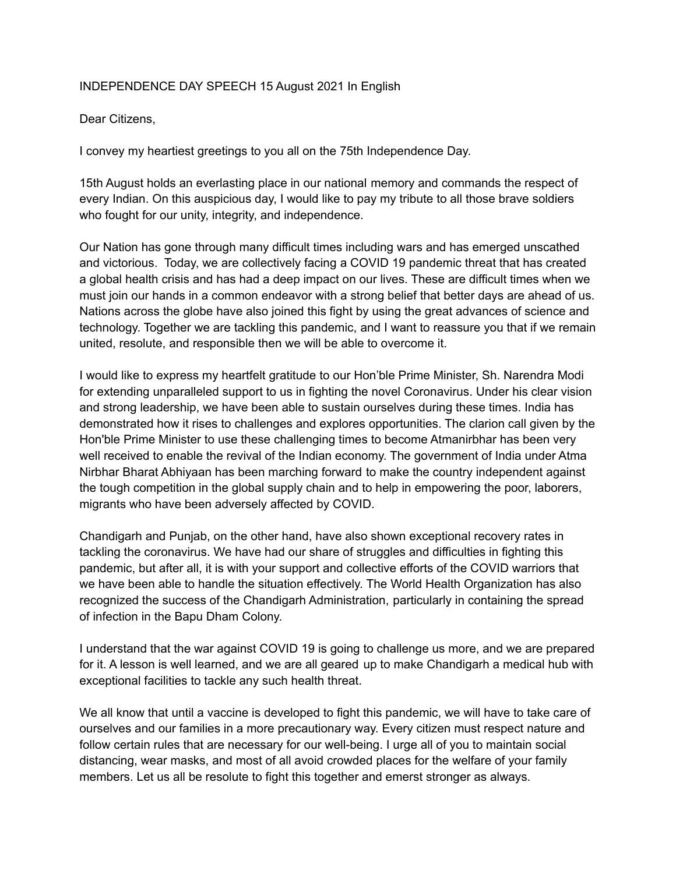## INDEPENDENCE DAY SPEECH 15 August 2021 In English

## Dear Citizens,

I convey my heartiest greetings to you all on the 75th Independence Day.

15th August holds an everlasting place in our national memory and commands the respect of every Indian. On this auspicious day, I would like to pay my tribute to all those brave soldiers who fought for our unity, integrity, and independence.

Our Nation has gone through many difficult times including wars and has emerged unscathed and victorious. Today, we are collectively facing a COVID 19 pandemic threat that has created a global health crisis and has had a deep impact on our lives. These are difficult times when we must join our hands in a common endeavor with a strong belief that better days are ahead of us. Nations across the globe have also joined this fight by using the great advances of science and technology. Together we are tackling this pandemic, and I want to reassure you that if we remain united, resolute, and responsible then we will be able to overcome it.

I would like to express my heartfelt gratitude to our Hon'ble Prime Minister, Sh. Narendra Modi for extending unparalleled support to us in fighting the novel Coronavirus. Under his clear vision and strong leadership, we have been able to sustain ourselves during these times. India has demonstrated how it rises to challenges and explores opportunities. The clarion call given by the Hon'ble Prime Minister to use these challenging times to become Atmanirbhar has been very well received to enable the revival of the Indian economy. The government of India under Atma Nirbhar Bharat Abhiyaan has been marching forward to make the country independent against the tough competition in the global supply chain and to help in empowering the poor, laborers, migrants who have been adversely affected by COVID.

Chandigarh and Punjab, on the other hand, have also shown exceptional recovery rates in tackling the coronavirus. We have had our share of struggles and difficulties in fighting this pandemic, but after all, it is with your support and collective efforts of the COVID warriors that we have been able to handle the situation effectively. The World Health Organization has also recognized the success of the Chandigarh Administration, particularly in containing the spread of infection in the Bapu Dham Colony.

I understand that the war against COVID 19 is going to challenge us more, and we are prepared for it. A lesson is well learned, and we are all geared up to make Chandigarh a medical hub with exceptional facilities to tackle any such health threat.

We all know that until a vaccine is developed to fight this pandemic, we will have to take care of ourselves and our families in a more precautionary way. Every citizen must respect nature and follow certain rules that are necessary for our well-being. I urge all of you to maintain social distancing, wear masks, and most of all avoid crowded places for the welfare of your family members. Let us all be resolute to fight this together and emerst stronger as always.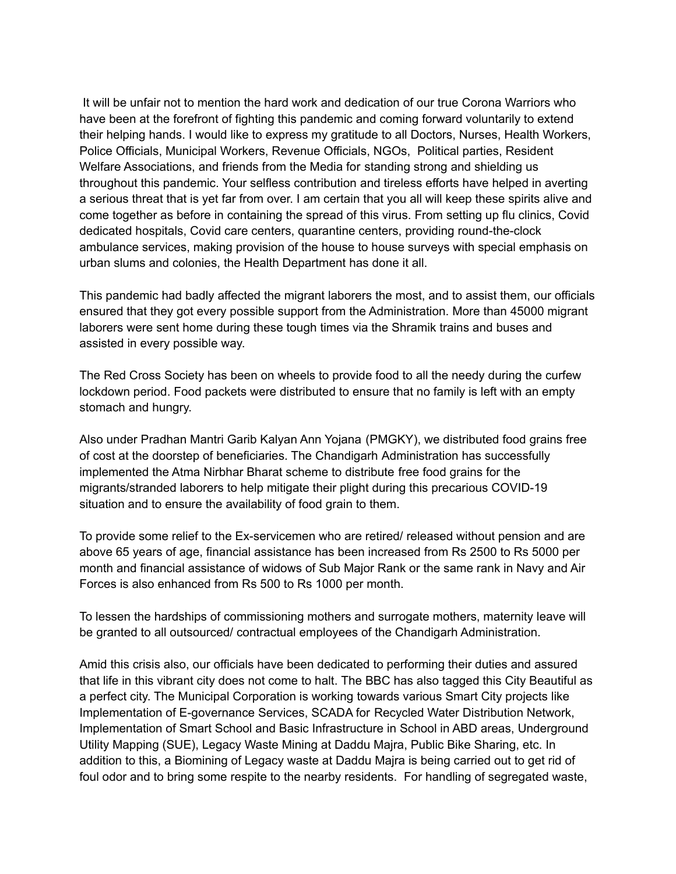It will be unfair not to mention the hard work and dedication of our true Corona Warriors who have been at the forefront of fighting this pandemic and coming forward voluntarily to extend their helping hands. I would like to express my gratitude to all Doctors, Nurses, Health Workers, Police Officials, Municipal Workers, Revenue Officials, NGOs, Political parties, Resident Welfare Associations, and friends from the Media for standing strong and shielding us throughout this pandemic. Your selfless contribution and tireless efforts have helped in averting a serious threat that is yet far from over. I am certain that you all will keep these spirits alive and come together as before in containing the spread of this virus. From setting up flu clinics, Covid dedicated hospitals, Covid care centers, quarantine centers, providing round-the-clock ambulance services, making provision of the house to house surveys with special emphasis on urban slums and colonies, the Health Department has done it all.

This pandemic had badly affected the migrant laborers the most, and to assist them, our officials ensured that they got every possible support from the Administration. More than 45000 migrant laborers were sent home during these tough times via the Shramik trains and buses and assisted in every possible way.

The Red Cross Society has been on wheels to provide food to all the needy during the curfew lockdown period. Food packets were distributed to ensure that no family is left with an empty stomach and hungry.

Also under Pradhan Mantri Garib Kalyan Ann Yojana (PMGKY), we distributed food grains free of cost at the doorstep of beneficiaries. The Chandigarh Administration has successfully implemented the Atma Nirbhar Bharat scheme to distribute free food grains for the migrants/stranded laborers to help mitigate their plight during this precarious COVID-19 situation and to ensure the availability of food grain to them.

To provide some relief to the Ex-servicemen who are retired/ released without pension and are above 65 years of age, financial assistance has been increased from Rs 2500 to Rs 5000 per month and financial assistance of widows of Sub Major Rank or the same rank in Navy and Air Forces is also enhanced from Rs 500 to Rs 1000 per month.

To lessen the hardships of commissioning mothers and surrogate mothers, maternity leave will be granted to all outsourced/ contractual employees of the Chandigarh Administration.

Amid this crisis also, our officials have been dedicated to performing their duties and assured that life in this vibrant city does not come to halt. The BBC has also tagged this City Beautiful as a perfect city. The Municipal Corporation is working towards various Smart City projects like Implementation of E-governance Services, SCADA for Recycled Water Distribution Network, Implementation of Smart School and Basic Infrastructure in School in ABD areas, Underground Utility Mapping (SUE), Legacy Waste Mining at Daddu Majra, Public Bike Sharing, etc. In addition to this, a Biomining of Legacy waste at Daddu Majra is being carried out to get rid of foul odor and to bring some respite to the nearby residents. For handling of segregated waste,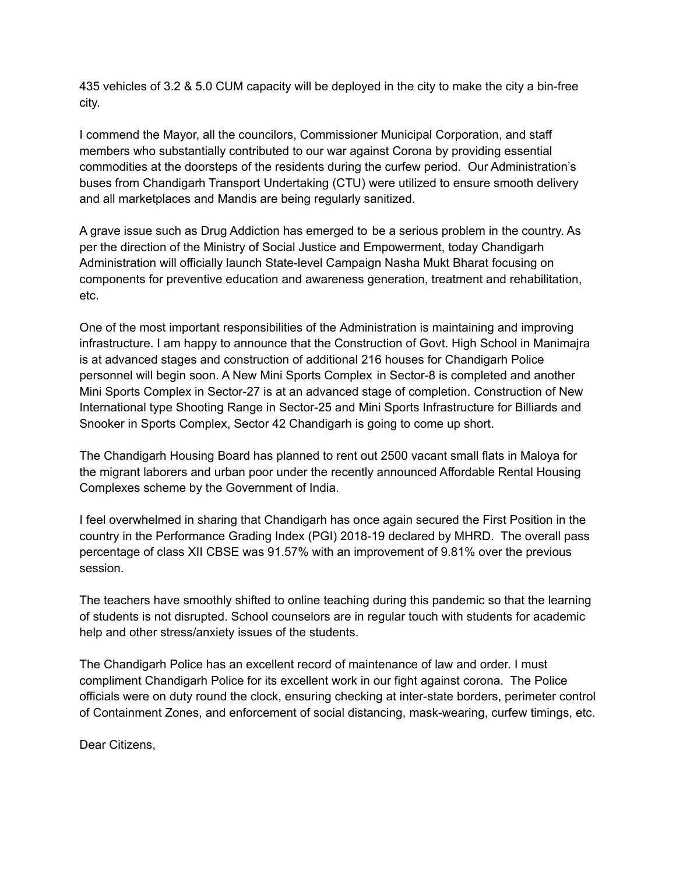435 vehicles of 3.2 & 5.0 CUM capacity will be deployed in the city to make the city a bin-free city.

I commend the Mayor, all the councilors, Commissioner Municipal Corporation, and staff members who substantially contributed to our war against Corona by providing essential commodities at the doorsteps of the residents during the curfew period. Our Administration's buses from Chandigarh Transport Undertaking (CTU) were utilized to ensure smooth delivery and all marketplaces and Mandis are being regularly sanitized.

A grave issue such as Drug Addiction has emerged to be a serious problem in the country. As per the direction of the Ministry of Social Justice and Empowerment, today Chandigarh Administration will officially launch State-level Campaign Nasha Mukt Bharat focusing on components for preventive education and awareness generation, treatment and rehabilitation, etc.

One of the most important responsibilities of the Administration is maintaining and improving infrastructure. I am happy to announce that the Construction of Govt. High School in Manimajra is at advanced stages and construction of additional 216 houses for Chandigarh Police personnel will begin soon. A New Mini Sports Complex in Sector-8 is completed and another Mini Sports Complex in Sector-27 is at an advanced stage of completion. Construction of New International type Shooting Range in Sector-25 and Mini Sports Infrastructure for Billiards and Snooker in Sports Complex, Sector 42 Chandigarh is going to come up short.

The Chandigarh Housing Board has planned to rent out 2500 vacant small flats in Maloya for the migrant laborers and urban poor under the recently announced Affordable Rental Housing Complexes scheme by the Government of India.

I feel overwhelmed in sharing that Chandigarh has once again secured the First Position in the country in the Performance Grading Index (PGI) 2018-19 declared by MHRD. The overall pass percentage of class XII CBSE was 91.57% with an improvement of 9.81% over the previous session.

The teachers have smoothly shifted to online teaching during this pandemic so that the learning of students is not disrupted. School counselors are in regular touch with students for academic help and other stress/anxiety issues of the students.

The Chandigarh Police has an excellent record of maintenance of law and order. I must compliment Chandigarh Police for its excellent work in our fight against corona. The Police officials were on duty round the clock, ensuring checking at inter-state borders, perimeter control of Containment Zones, and enforcement of social distancing, mask-wearing, curfew timings, etc.

Dear Citizens,